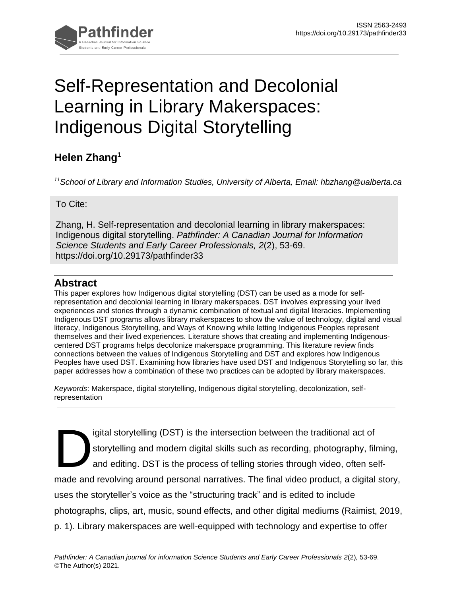

# Self-Representation and Decolonial Learning in Library Makerspaces: Indigenous Digital Storytelling

## **Helen Zhang<sup>1</sup>**

*<sup>11</sup>School of Library and Information Studies, University of Alberta, Email: hbzhang@ualberta.ca*

To Cite:

Zhang, H. Self-representation and decolonial learning in library makerspaces: Indigenous digital storytelling. *Pathfinder: A Canadian Journal for Information Science Students and Early Career Professionals, 2*(2), 53-69. https://doi.org/10.29173/pathfinder33

#### **Abstract**

This paper explores how Indigenous digital storytelling (DST) can be used as a mode for selfrepresentation and decolonial learning in library makerspaces. DST involves expressing your lived experiences and stories through a dynamic combination of textual and digital literacies. Implementing Indigenous DST programs allows library makerspaces to show the value of technology, digital and visual literacy, Indigenous Storytelling, and Ways of Knowing while letting Indigenous Peoples represent themselves and their lived experiences. Literature shows that creating and implementing Indigenouscentered DST programs helps decolonize makerspace programming. This literature review finds connections between the values of Indigenous Storytelling and DST and explores how Indigenous Peoples have used DST. Examining how libraries have used DST and Indigenous Storytelling so far, this paper addresses how a combination of these two practices can be adopted by library makerspaces.

*Keywords*: Makerspace, digital storytelling, Indigenous digital storytelling, decolonization, selfrepresentation

igital storytelling (DST) is the intersection between the traditional act of storytelling and modern digital skills such as recording, photography, filming, and editing. DST is the process of telling stories through video, often selfmade and revolving around personal narratives. The final video product, a digital story, uses the storyteller's voice as the "structuring track" and is edited to include photographs, clips, art, music, sound effects, and other digital mediums (Raimist, 2019, p. 1). Library makerspaces are well-equipped with technology and expertise to offer D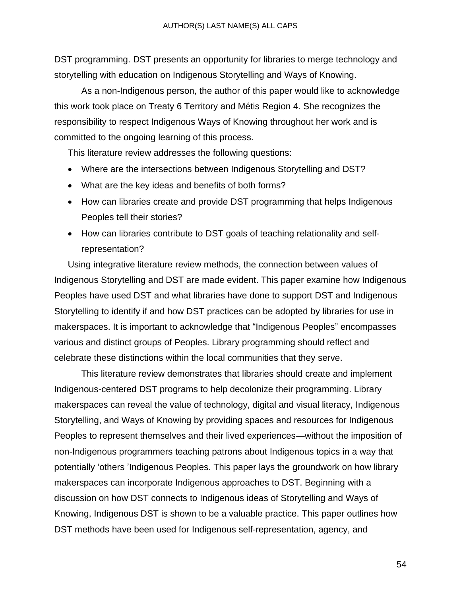DST programming. DST presents an opportunity for libraries to merge technology and storytelling with education on Indigenous Storytelling and Ways of Knowing.

As a non-Indigenous person, the author of this paper would like to acknowledge this work took place on Treaty 6 Territory and Métis Region 4. She recognizes the responsibility to respect Indigenous Ways of Knowing throughout her work and is committed to the ongoing learning of this process.

This literature review addresses the following questions:

- Where are the intersections between Indigenous Storytelling and DST?
- What are the key ideas and benefits of both forms?
- How can libraries create and provide DST programming that helps Indigenous Peoples tell their stories?
- How can libraries contribute to DST goals of teaching relationality and selfrepresentation?

Using integrative literature review methods, the connection between values of Indigenous Storytelling and DST are made evident. This paper examine how Indigenous Peoples have used DST and what libraries have done to support DST and Indigenous Storytelling to identify if and how DST practices can be adopted by libraries for use in makerspaces. It is important to acknowledge that "Indigenous Peoples" encompasses various and distinct groups of Peoples. Library programming should reflect and celebrate these distinctions within the local communities that they serve.

This literature review demonstrates that libraries should create and implement Indigenous-centered DST programs to help decolonize their programming. Library makerspaces can reveal the value of technology, digital and visual literacy, Indigenous Storytelling, and Ways of Knowing by providing spaces and resources for Indigenous Peoples to represent themselves and their lived experiences—without the imposition of non-Indigenous programmers teaching patrons about Indigenous topics in a way that potentially 'others 'Indigenous Peoples. This paper lays the groundwork on how library makerspaces can incorporate Indigenous approaches to DST. Beginning with a discussion on how DST connects to Indigenous ideas of Storytelling and Ways of Knowing, Indigenous DST is shown to be a valuable practice. This paper outlines how DST methods have been used for Indigenous self-representation, agency, and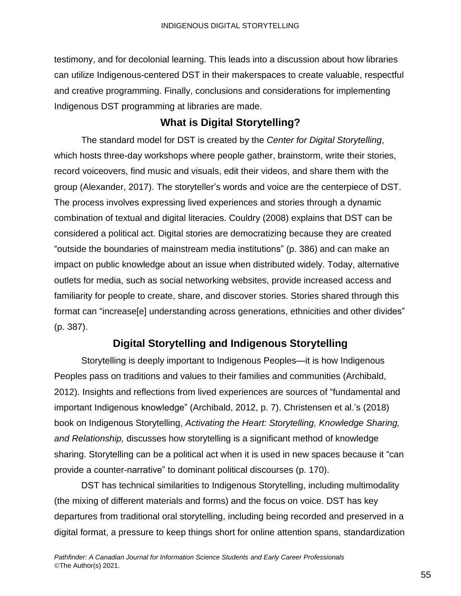testimony, and for decolonial learning. This leads into a discussion about how libraries can utilize Indigenous-centered DST in their makerspaces to create valuable, respectful and creative programming. Finally, conclusions and considerations for implementing Indigenous DST programming at libraries are made.

### **What is Digital Storytelling?**

The standard model for DST is created by the *Center for Digital Storytelling*, which hosts three-day workshops where people gather, brainstorm, write their stories, record voiceovers, find music and visuals, edit their videos, and share them with the group (Alexander, 2017). The storyteller's words and voice are the centerpiece of DST. The process involves expressing lived experiences and stories through a dynamic combination of textual and digital literacies. Couldry (2008) explains that DST can be considered a political act. Digital stories are democratizing because they are created "outside the boundaries of mainstream media institutions" (p. 386) and can make an impact on public knowledge about an issue when distributed widely. Today, alternative outlets for media, such as social networking websites, provide increased access and familiarity for people to create, share, and discover stories. Stories shared through this format can "increase[e] understanding across generations, ethnicities and other divides" (p. 387).

## **Digital Storytelling and Indigenous Storytelling**

Storytelling is deeply important to Indigenous Peoples—it is how Indigenous Peoples pass on traditions and values to their families and communities (Archibald, 2012). Insights and reflections from lived experiences are sources of "fundamental and important Indigenous knowledge" (Archibald, 2012, p. 7). Christensen et al.'s (2018) book on Indigenous Storytelling, *Activating the Heart: Storytelling, Knowledge Sharing, and Relationship,* discusses how storytelling is a significant method of knowledge sharing. Storytelling can be a political act when it is used in new spaces because it "can provide a counter-narrative" to dominant political discourses (p. 170).

DST has technical similarities to Indigenous Storytelling, including multimodality (the mixing of different materials and forms) and the focus on voice. DST has key departures from traditional oral storytelling, including being recorded and preserved in a digital format, a pressure to keep things short for online attention spans, standardization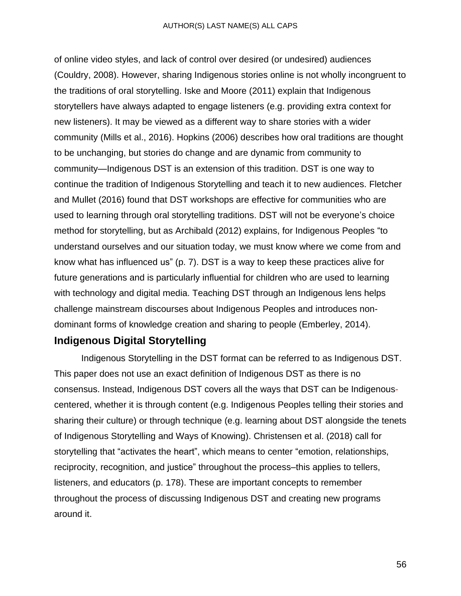#### AUTHOR(S) LAST NAME(S) ALL CAPS

of online video styles, and lack of control over desired (or undesired) audiences (Couldry, 2008). However, sharing Indigenous stories online is not wholly incongruent to the traditions of oral storytelling. Iske and Moore (2011) explain that Indigenous storytellers have always adapted to engage listeners (e.g. providing extra context for new listeners). It may be viewed as a different way to share stories with a wider community (Mills et al., 2016). Hopkins (2006) describes how oral traditions are thought to be unchanging, but stories do change and are dynamic from community to community—Indigenous DST is an extension of this tradition. DST is one way to continue the tradition of Indigenous Storytelling and teach it to new audiences. Fletcher and Mullet (2016) found that DST workshops are effective for communities who are used to learning through oral storytelling traditions. DST will not be everyone's choice method for storytelling, but as Archibald (2012) explains, for Indigenous Peoples "to understand ourselves and our situation today, we must know where we come from and know what has influenced us" (p. 7). DST is a way to keep these practices alive for future generations and is particularly influential for children who are used to learning with technology and digital media. Teaching DST through an Indigenous lens helps challenge mainstream discourses about Indigenous Peoples and introduces nondominant forms of knowledge creation and sharing to people (Emberley, 2014).

#### **Indigenous Digital Storytelling**

Indigenous Storytelling in the DST format can be referred to as Indigenous DST. This paper does not use an exact definition of Indigenous DST as there is no consensus. Instead, Indigenous DST covers all the ways that DST can be Indigenouscentered, whether it is through content (e.g. Indigenous Peoples telling their stories and sharing their culture) or through technique (e.g. learning about DST alongside the tenets of Indigenous Storytelling and Ways of Knowing). Christensen et al. (2018) call for storytelling that "activates the heart", which means to center "emotion, relationships, reciprocity, recognition, and justice" throughout the process–this applies to tellers, listeners, and educators (p. 178). These are important concepts to remember throughout the process of discussing Indigenous DST and creating new programs around it.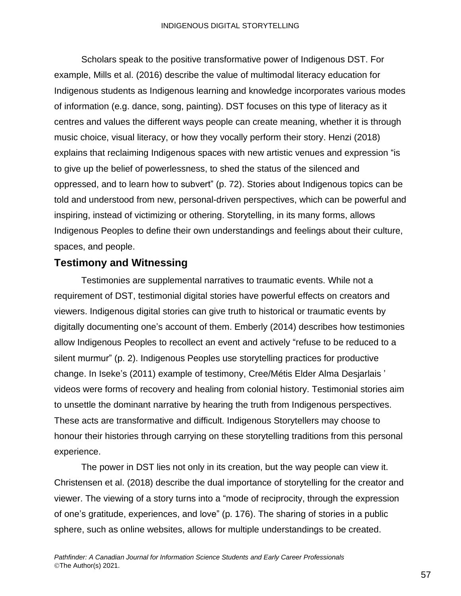Scholars speak to the positive transformative power of Indigenous DST. For example, Mills et al. (2016) describe the value of multimodal literacy education for Indigenous students as Indigenous learning and knowledge incorporates various modes of information (e.g. dance, song, painting). DST focuses on this type of literacy as it centres and values the different ways people can create meaning, whether it is through music choice, visual literacy, or how they vocally perform their story. Henzi (2018) explains that reclaiming Indigenous spaces with new artistic venues and expression "is to give up the belief of powerlessness, to shed the status of the silenced and oppressed, and to learn how to subvert" (p. 72). Stories about Indigenous topics can be told and understood from new, personal-driven perspectives, which can be powerful and inspiring, instead of victimizing or othering. Storytelling, in its many forms, allows Indigenous Peoples to define their own understandings and feelings about their culture, spaces, and people.

#### **Testimony and Witnessing**

Testimonies are supplemental narratives to traumatic events. While not a requirement of DST, testimonial digital stories have powerful effects on creators and viewers. Indigenous digital stories can give truth to historical or traumatic events by digitally documenting one's account of them. Emberly (2014) describes how testimonies allow Indigenous Peoples to recollect an event and actively "refuse to be reduced to a silent murmur" (p. 2). Indigenous Peoples use storytelling practices for productive change. In Iseke's (2011) example of testimony, Cree/Métis Elder Alma Desjarlais ' videos were forms of recovery and healing from colonial history. Testimonial stories aim to unsettle the dominant narrative by hearing the truth from Indigenous perspectives. These acts are transformative and difficult. Indigenous Storytellers may choose to honour their histories through carrying on these storytelling traditions from this personal experience.

The power in DST lies not only in its creation, but the way people can view it. Christensen et al. (2018) describe the dual importance of storytelling for the creator and viewer. The viewing of a story turns into a "mode of reciprocity, through the expression of one's gratitude, experiences, and love" (p. 176). The sharing of stories in a public sphere, such as online websites, allows for multiple understandings to be created.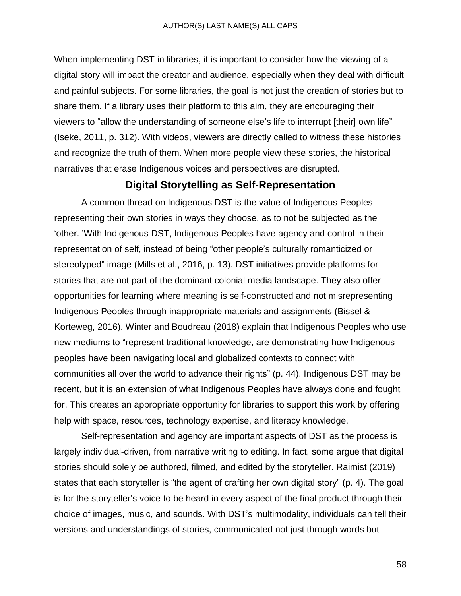When implementing DST in libraries, it is important to consider how the viewing of a digital story will impact the creator and audience, especially when they deal with difficult and painful subjects. For some libraries, the goal is not just the creation of stories but to share them. If a library uses their platform to this aim, they are encouraging their viewers to "allow the understanding of someone else's life to interrupt [their] own life" (Iseke, 2011, p. 312). With videos, viewers are directly called to witness these histories and recognize the truth of them. When more people view these stories, the historical narratives that erase Indigenous voices and perspectives are disrupted.

#### **Digital Storytelling as Self-Representation**

A common thread on Indigenous DST is the value of Indigenous Peoples representing their own stories in ways they choose, as to not be subjected as the 'other. 'With Indigenous DST, Indigenous Peoples have agency and control in their representation of self, instead of being "other people's culturally romanticized or stereotyped" image (Mills et al., 2016, p. 13). DST initiatives provide platforms for stories that are not part of the dominant colonial media landscape. They also offer opportunities for learning where meaning is self-constructed and not misrepresenting Indigenous Peoples through inappropriate materials and assignments (Bissel & Korteweg, 2016). Winter and Boudreau (2018) explain that Indigenous Peoples who use new mediums to "represent traditional knowledge, are demonstrating how Indigenous peoples have been navigating local and globalized contexts to connect with communities all over the world to advance their rights" (p. 44). Indigenous DST may be recent, but it is an extension of what Indigenous Peoples have always done and fought for. This creates an appropriate opportunity for libraries to support this work by offering help with space, resources, technology expertise, and literacy knowledge.

Self-representation and agency are important aspects of DST as the process is largely individual-driven, from narrative writing to editing. In fact, some argue that digital stories should solely be authored, filmed, and edited by the storyteller. Raimist (2019) states that each storyteller is "the agent of crafting her own digital story" (p. 4). The goal is for the storyteller's voice to be heard in every aspect of the final product through their choice of images, music, and sounds. With DST's multimodality, individuals can tell their versions and understandings of stories, communicated not just through words but

58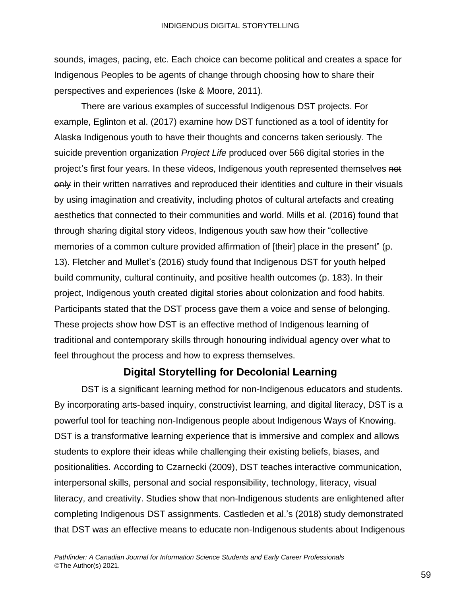sounds, images, pacing, etc. Each choice can become political and creates a space for Indigenous Peoples to be agents of change through choosing how to share their perspectives and experiences (Iske & Moore, 2011).

There are various examples of successful Indigenous DST projects. For example, Eglinton et al. (2017) examine how DST functioned as a tool of identity for Alaska Indigenous youth to have their thoughts and concerns taken seriously. The suicide prevention organization *Project Life* produced over 566 digital stories in the project's first four years. In these videos, Indigenous youth represented themselves not only in their written narratives and reproduced their identities and culture in their visuals by using imagination and creativity, including photos of cultural artefacts and creating aesthetics that connected to their communities and world. Mills et al. (2016) found that through sharing digital story videos, Indigenous youth saw how their "collective memories of a common culture provided affirmation of [their] place in the present" (p. 13). Fletcher and Mullet's (2016) study found that Indigenous DST for youth helped build community, cultural continuity, and positive health outcomes (p. 183). In their project, Indigenous youth created digital stories about colonization and food habits. Participants stated that the DST process gave them a voice and sense of belonging. These projects show how DST is an effective method of Indigenous learning of traditional and contemporary skills through honouring individual agency over what to feel throughout the process and how to express themselves.

#### **Digital Storytelling for Decolonial Learning**

DST is a significant learning method for non-Indigenous educators and students. By incorporating arts-based inquiry, constructivist learning, and digital literacy, DST is a powerful tool for teaching non-Indigenous people about Indigenous Ways of Knowing. DST is a transformative learning experience that is immersive and complex and allows students to explore their ideas while challenging their existing beliefs, biases, and positionalities. According to Czarnecki (2009), DST teaches interactive communication, interpersonal skills, personal and social responsibility, technology, literacy, visual literacy, and creativity. Studies show that non-Indigenous students are enlightened after completing Indigenous DST assignments. Castleden et al.'s (2018) study demonstrated that DST was an effective means to educate non-Indigenous students about Indigenous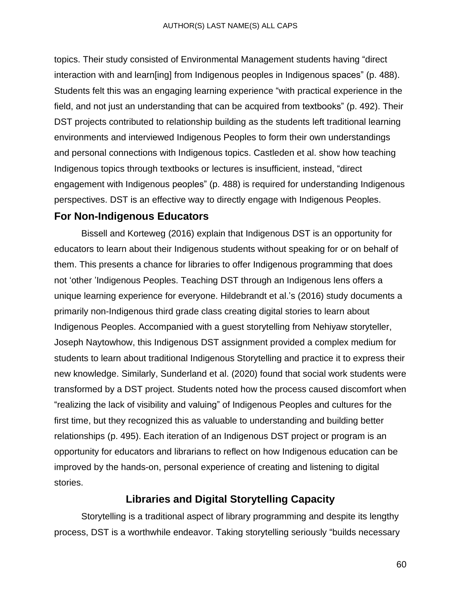topics. Their study consisted of Environmental Management students having "direct interaction with and learn[ing] from Indigenous peoples in Indigenous spaces" (p. 488). Students felt this was an engaging learning experience "with practical experience in the field, and not just an understanding that can be acquired from textbooks" (p. 492). Their DST projects contributed to relationship building as the students left traditional learning environments and interviewed Indigenous Peoples to form their own understandings and personal connections with Indigenous topics. Castleden et al. show how teaching Indigenous topics through textbooks or lectures is insufficient, instead, "direct engagement with Indigenous peoples" (p. 488) is required for understanding Indigenous perspectives. DST is an effective way to directly engage with Indigenous Peoples.

#### **For Non-Indigenous Educators**

Bissell and Korteweg (2016) explain that Indigenous DST is an opportunity for educators to learn about their Indigenous students without speaking for or on behalf of them. This presents a chance for libraries to offer Indigenous programming that does not 'other 'Indigenous Peoples. Teaching DST through an Indigenous lens offers a unique learning experience for everyone. Hildebrandt et al.'s (2016) study documents a primarily non-Indigenous third grade class creating digital stories to learn about Indigenous Peoples. Accompanied with a guest storytelling from Nehiyaw storyteller, Joseph Naytowhow, this Indigenous DST assignment provided a complex medium for students to learn about traditional Indigenous Storytelling and practice it to express their new knowledge. Similarly, Sunderland et al. (2020) found that social work students were transformed by a DST project. Students noted how the process caused discomfort when "realizing the lack of visibility and valuing" of Indigenous Peoples and cultures for the first time, but they recognized this as valuable to understanding and building better relationships (p. 495). Each iteration of an Indigenous DST project or program is an opportunity for educators and librarians to reflect on how Indigenous education can be improved by the hands-on, personal experience of creating and listening to digital stories.

#### **Libraries and Digital Storytelling Capacity**

Storytelling is a traditional aspect of library programming and despite its lengthy process, DST is a worthwhile endeavor. Taking storytelling seriously "builds necessary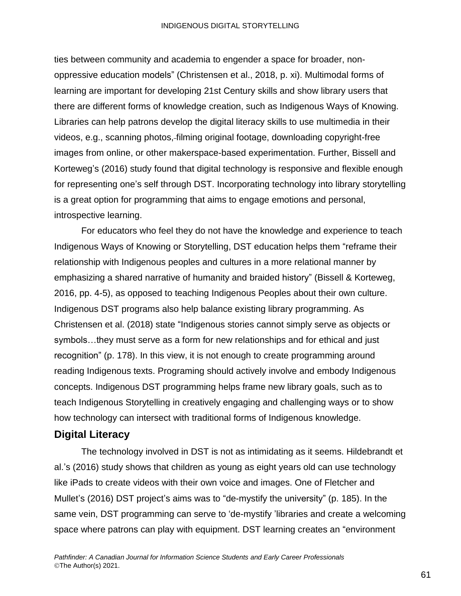#### INDIGENOUS DIGITAL STORYTELLING

ties between community and academia to engender a space for broader, nonoppressive education models" (Christensen et al., 2018, p. xi). Multimodal forms of learning are important for developing 21st Century skills and show library users that there are different forms of knowledge creation, such as Indigenous Ways of Knowing. Libraries can help patrons develop the digital literacy skills to use multimedia in their videos, e.g., scanning photos, filming original footage, downloading copyright-free images from online, or other makerspace-based experimentation. Further, Bissell and Korteweg's (2016) study found that digital technology is responsive and flexible enough for representing one's self through DST. Incorporating technology into library storytelling is a great option for programming that aims to engage emotions and personal, introspective learning.

For educators who feel they do not have the knowledge and experience to teach Indigenous Ways of Knowing or Storytelling, DST education helps them "reframe their relationship with Indigenous peoples and cultures in a more relational manner by emphasizing a shared narrative of humanity and braided history" (Bissell & Korteweg, 2016, pp. 4-5), as opposed to teaching Indigenous Peoples about their own culture. Indigenous DST programs also help balance existing library programming. As Christensen et al. (2018) state "Indigenous stories cannot simply serve as objects or symbols…they must serve as a form for new relationships and for ethical and just recognition" (p. 178). In this view, it is not enough to create programming around reading Indigenous texts. Programing should actively involve and embody Indigenous concepts. Indigenous DST programming helps frame new library goals, such as to teach Indigenous Storytelling in creatively engaging and challenging ways or to show how technology can intersect with traditional forms of Indigenous knowledge.

#### **Digital Literacy**

The technology involved in DST is not as intimidating as it seems. Hildebrandt et al.'s (2016) study shows that children as young as eight years old can use technology like iPads to create videos with their own voice and images. One of Fletcher and Mullet's (2016) DST project's aims was to "de-mystify the university" (p. 185). In the same vein, DST programming can serve to 'de-mystify 'libraries and create a welcoming space where patrons can play with equipment. DST learning creates an "environment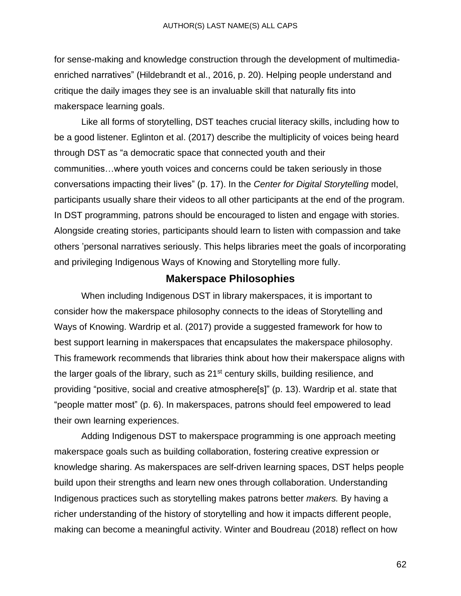for sense-making and knowledge construction through the development of multimediaenriched narratives" (Hildebrandt et al., 2016, p. 20). Helping people understand and critique the daily images they see is an invaluable skill that naturally fits into makerspace learning goals.

Like all forms of storytelling, DST teaches crucial literacy skills, including how to be a good listener. Eglinton et al. (2017) describe the multiplicity of voices being heard through DST as "a democratic space that connected youth and their communities…where youth voices and concerns could be taken seriously in those conversations impacting their lives" (p. 17). In the *Center for Digital Storytelling* model, participants usually share their videos to all other participants at the end of the program. In DST programming, patrons should be encouraged to listen and engage with stories. Alongside creating stories, participants should learn to listen with compassion and take others 'personal narratives seriously. This helps libraries meet the goals of incorporating and privileging Indigenous Ways of Knowing and Storytelling more fully.

#### **Makerspace Philosophies**

When including Indigenous DST in library makerspaces, it is important to consider how the makerspace philosophy connects to the ideas of Storytelling and Ways of Knowing. Wardrip et al. (2017) provide a suggested framework for how to best support learning in makerspaces that encapsulates the makerspace philosophy. This framework recommends that libraries think about how their makerspace aligns with the larger goals of the library, such as 21<sup>st</sup> century skills, building resilience, and providing "positive, social and creative atmosphere[s]" (p. 13). Wardrip et al. state that "people matter most" (p. 6). In makerspaces, patrons should feel empowered to lead their own learning experiences.

Adding Indigenous DST to makerspace programming is one approach meeting makerspace goals such as building collaboration, fostering creative expression or knowledge sharing. As makerspaces are self-driven learning spaces, DST helps people build upon their strengths and learn new ones through collaboration. Understanding Indigenous practices such as storytelling makes patrons better *makers.* By having a richer understanding of the history of storytelling and how it impacts different people, making can become a meaningful activity. Winter and Boudreau (2018) reflect on how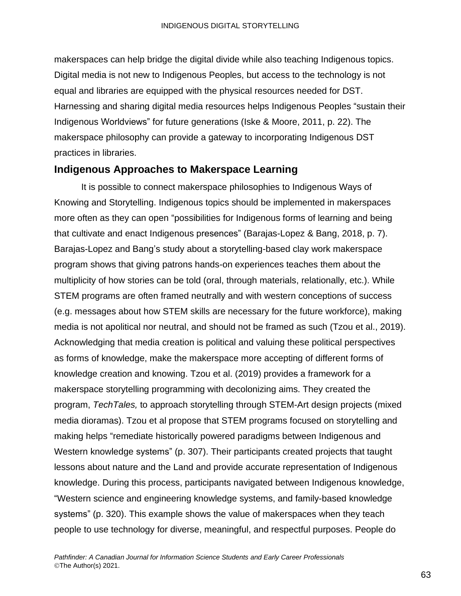makerspaces can help bridge the digital divide while also teaching Indigenous topics. Digital media is not new to Indigenous Peoples, but access to the technology is not equal and libraries are equipped with the physical resources needed for DST. Harnessing and sharing digital media resources helps Indigenous Peoples "sustain their Indigenous Worldviews" for future generations (Iske & Moore, 2011, p. 22). The makerspace philosophy can provide a gateway to incorporating Indigenous DST practices in libraries.

#### **Indigenous Approaches to Makerspace Learning**

It is possible to connect makerspace philosophies to Indigenous Ways of Knowing and Storytelling. Indigenous topics should be implemented in makerspaces more often as they can open "possibilities for Indigenous forms of learning and being that cultivate and enact Indigenous presences" (Barajas-Lopez & Bang, 2018, p. 7). Barajas-Lopez and Bang's study about a storytelling-based clay work makerspace program shows that giving patrons hands-on experiences teaches them about the multiplicity of how stories can be told (oral, through materials, relationally, etc.). While STEM programs are often framed neutrally and with western conceptions of success (e.g. messages about how STEM skills are necessary for the future workforce), making media is not apolitical nor neutral, and should not be framed as such (Tzou et al., 2019). Acknowledging that media creation is political and valuing these political perspectives as forms of knowledge, make the makerspace more accepting of different forms of knowledge creation and knowing. Tzou et al. (2019) provides a framework for a makerspace storytelling programming with decolonizing aims. They created the program, *TechTales,* to approach storytelling through STEM-Art design projects (mixed media dioramas). Tzou et al propose that STEM programs focused on storytelling and making helps "remediate historically powered paradigms between Indigenous and Western knowledge systems" (p. 307). Their participants created projects that taught lessons about nature and the Land and provide accurate representation of Indigenous knowledge. During this process, participants navigated between Indigenous knowledge, "Western science and engineering knowledge systems, and family-based knowledge systems" (p. 320). This example shows the value of makerspaces when they teach people to use technology for diverse, meaningful, and respectful purposes. People do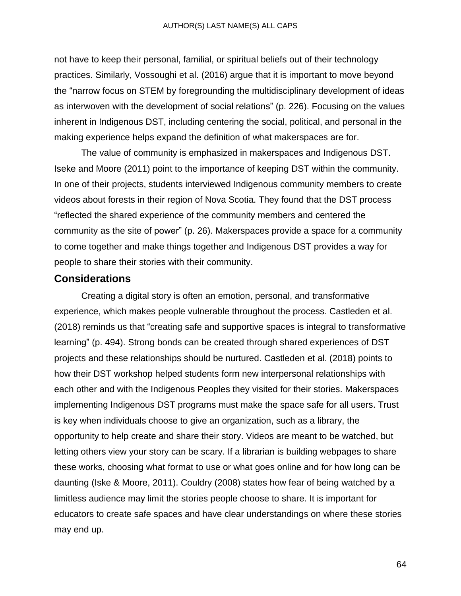not have to keep their personal, familial, or spiritual beliefs out of their technology practices. Similarly, Vossoughi et al. (2016) argue that it is important to move beyond the "narrow focus on STEM by foregrounding the multidisciplinary development of ideas as interwoven with the development of social relations" (p. 226). Focusing on the values inherent in Indigenous DST, including centering the social, political, and personal in the making experience helps expand the definition of what makerspaces are for.

The value of community is emphasized in makerspaces and Indigenous DST. Iseke and Moore (2011) point to the importance of keeping DST within the community. In one of their projects, students interviewed Indigenous community members to create videos about forests in their region of Nova Scotia. They found that the DST process "reflected the shared experience of the community members and centered the community as the site of power" (p. 26). Makerspaces provide a space for a community to come together and make things together and Indigenous DST provides a way for people to share their stories with their community.

#### **Considerations**

Creating a digital story is often an emotion, personal, and transformative experience, which makes people vulnerable throughout the process. Castleden et al. (2018) reminds us that "creating safe and supportive spaces is integral to transformative learning" (p. 494). Strong bonds can be created through shared experiences of DST projects and these relationships should be nurtured. Castleden et al. (2018) points to how their DST workshop helped students form new interpersonal relationships with each other and with the Indigenous Peoples they visited for their stories. Makerspaces implementing Indigenous DST programs must make the space safe for all users. Trust is key when individuals choose to give an organization, such as a library, the opportunity to help create and share their story. Videos are meant to be watched, but letting others view your story can be scary. If a librarian is building webpages to share these works, choosing what format to use or what goes online and for how long can be daunting (Iske & Moore, 2011). Couldry (2008) states how fear of being watched by a limitless audience may limit the stories people choose to share. It is important for educators to create safe spaces and have clear understandings on where these stories may end up.

64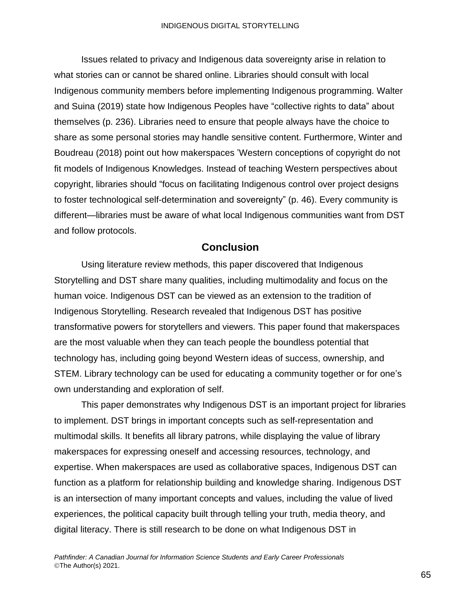Issues related to privacy and Indigenous data sovereignty arise in relation to what stories can or cannot be shared online. Libraries should consult with local Indigenous community members before implementing Indigenous programming. Walter and Suina (2019) state how Indigenous Peoples have "collective rights to data" about themselves (p. 236). Libraries need to ensure that people always have the choice to share as some personal stories may handle sensitive content. Furthermore, Winter and Boudreau (2018) point out how makerspaces 'Western conceptions of copyright do not fit models of Indigenous Knowledges. Instead of teaching Western perspectives about copyright, libraries should "focus on facilitating Indigenous control over project designs to foster technological self-determination and sovereignty" (p. 46). Every community is different—libraries must be aware of what local Indigenous communities want from DST and follow protocols.

#### **Conclusion**

Using literature review methods, this paper discovered that Indigenous Storytelling and DST share many qualities, including multimodality and focus on the human voice. Indigenous DST can be viewed as an extension to the tradition of Indigenous Storytelling. Research revealed that Indigenous DST has positive transformative powers for storytellers and viewers. This paper found that makerspaces are the most valuable when they can teach people the boundless potential that technology has, including going beyond Western ideas of success, ownership, and STEM. Library technology can be used for educating a community together or for one's own understanding and exploration of self.

This paper demonstrates why Indigenous DST is an important project for libraries to implement. DST brings in important concepts such as self-representation and multimodal skills. It benefits all library patrons, while displaying the value of library makerspaces for expressing oneself and accessing resources, technology, and expertise. When makerspaces are used as collaborative spaces, Indigenous DST can function as a platform for relationship building and knowledge sharing. Indigenous DST is an intersection of many important concepts and values, including the value of lived experiences, the political capacity built through telling your truth, media theory, and digital literacy. There is still research to be done on what Indigenous DST in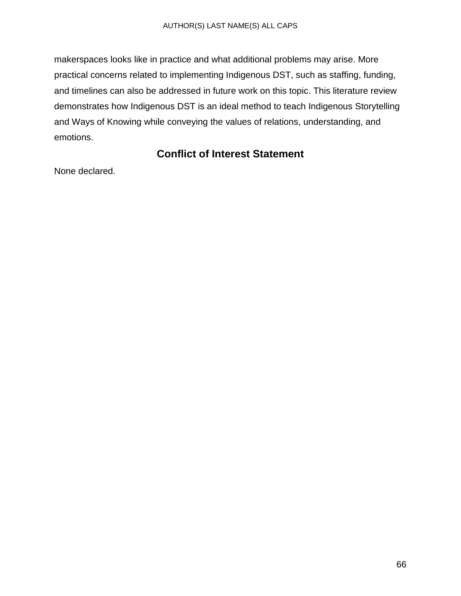makerspaces looks like in practice and what additional problems may arise. More practical concerns related to implementing Indigenous DST, such as staffing, funding, and timelines can also be addressed in future work on this topic. This literature review demonstrates how Indigenous DST is an ideal method to teach Indigenous Storytelling and Ways of Knowing while conveying the values of relations, understanding, and emotions.

# **Conflict of Interest Statement**

None declared.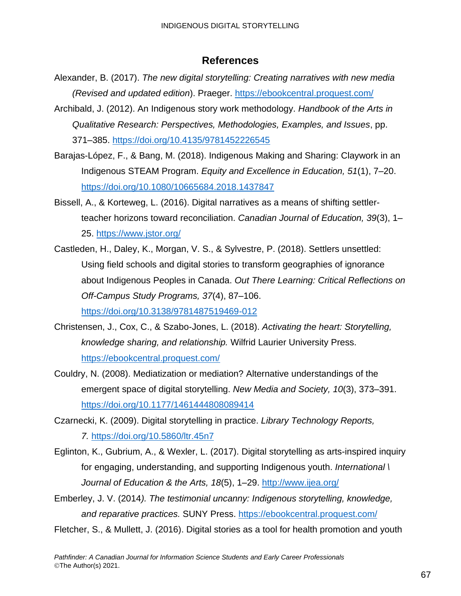#### **References**

- Alexander, B. (2017). *The new digital storytelling: Creating narratives with new media (Revised and updated edition*). Praeger. <https://ebookcentral.proquest.com/>
- Archibald, J. (2012). An Indigenous story work methodology. *Handbook of the Arts in Qualitative Research: Perspectives, Methodologies, Examples, and Issues*, pp. 371–385. <https://doi.org/10.4135/9781452226545>
- Barajas-López, F., & Bang, M. (2018). Indigenous Making and Sharing: Claywork in an Indigenous STEAM Program. *Equity and Excellence in Education, 51*(1), 7–20. <https://doi.org/10.1080/10665684.2018.1437847>
- Bissell, A., & Korteweg, L. (2016). Digital narratives as a means of shifting settlerteacher horizons toward reconciliation. *Canadian Journal of Education, 39*(3), 1– 25. <https://www.jstor.org/>
- Castleden, H., Daley, K., Morgan, V. S., & Sylvestre, P. (2018). Settlers unsettled: Using field schools and digital stories to transform geographies of ignorance about Indigenous Peoples in Canada. *Out There Learning: Critical Reflections on Off-Campus Study Programs, 37*(4), 87–106. <https://doi.org/10.3138/9781487519469-012>
- Christensen, J., Cox, C., & Szabo-Jones, L. (2018). *Activating the heart: Storytelling, knowledge sharing, and relationship.* Wilfrid Laurier University Press. <https://ebookcentral.proquest.com/>
- Couldry, N. (2008). Mediatization or mediation? Alternative understandings of the emergent space of digital storytelling. *New Media and Society, 10*(3), 373–391. <https://doi.org/10.1177/1461444808089414>
- Czarnecki, K. (2009). Digital storytelling in practice. *Library Technology Reports, 7.* <https://doi.org/10.5860/ltr.45n7>
- Eglinton, K., Gubrium, A., & Wexler, L. (2017). Digital storytelling as arts-inspired inquiry for engaging, understanding, and supporting Indigenous youth. *International \ Journal of Education & the Arts, 18*(5), 1–29. <http://www.ijea.org/>
- Emberley, J. V. (2014*). The testimonial uncanny: Indigenous storytelling, knowledge, and reparative practices.* SUNY Press. <https://ebookcentral.proquest.com/>
- Fletcher, S., & Mullett, J. (2016). Digital stories as a tool for health promotion and youth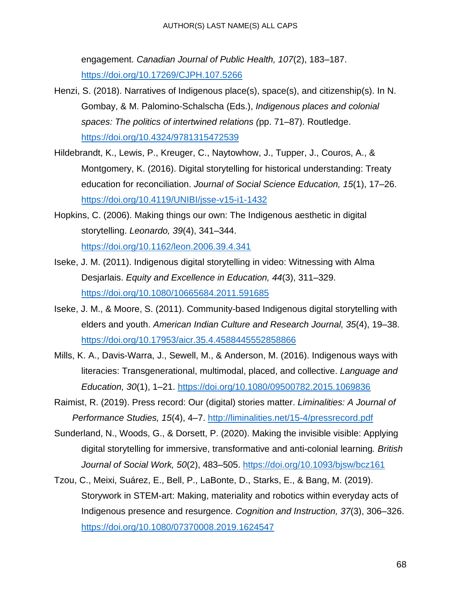engagement. *Canadian Journal of Public Health, 107*(2), 183–187. <https://doi.org/10.17269/CJPH.107.5266>

- Henzi, S. (2018). Narratives of Indigenous place(s), space(s), and citizenship(s). In N. Gombay, & M. Palomino-Schalscha (Eds.), *Indigenous places and colonial spaces: The politics of intertwined relations (*pp. 71–87). Routledge. <https://doi.org/10.4324/9781315472539>
- Hildebrandt, K., Lewis, P., Kreuger, C., Naytowhow, J., Tupper, J., Couros, A., & Montgomery, K. (2016). Digital storytelling for historical understanding: Treaty education for reconciliation. *Journal of Social Science Education, 15*(1), 17–26. <https://doi.org/10.4119/UNIBI/jsse-v15-i1-1432>
- Hopkins, C. (2006). Making things our own: The Indigenous aesthetic in digital storytelling. *Leonardo, 39*(4), 341–344. <https://doi.org/10.1162/leon.2006.39.4.341>
- Iseke, J. M. (2011). Indigenous digital storytelling in video: Witnessing with Alma Desjarlais. *Equity and Excellence in Education, 44*(3), 311–329. <https://doi.org/10.1080/10665684.2011.591685>
- Iseke, J. M., & Moore, S. (2011). Community-based Indigenous digital storytelling with elders and youth. *American Indian Culture and Research Journal, 35*(4), 19–38. <https://doi.org/10.17953/aicr.35.4.4588445552858866>
- Mills, K. A., Davis-Warra, J., Sewell, M., & Anderson, M. (2016). Indigenous ways with literacies: Transgenerational, multimodal, placed, and collective. *Language and Education, 30*(1), 1–21. <https://doi.org/10.1080/09500782.2015.1069836>
- Raimist, R. (2019). Press record: Our (digital) stories matter. *Liminalities: A Journal of Performance Studies, 15*(4), 4–7. <http://liminalities.net/15-4/pressrecord.pdf>
- Sunderland, N., Woods, G., & Dorsett, P. (2020). Making the invisible visible: Applying digital storytelling for immersive, transformative and anti-colonial learning*. British Journal of Social Work, 50*(2), 483–505. <https://doi.org/10.1093/bjsw/bcz161>
- Tzou, C., Meixi, Suárez, E., Bell, P., LaBonte, D., Starks, E., & Bang, M. (2019). Storywork in STEM-art: Making, materiality and robotics within everyday acts of Indigenous presence and resurgence. *Cognition and Instruction, 37*(3), 306–326. <https://doi.org/10.1080/07370008.2019.1624547>